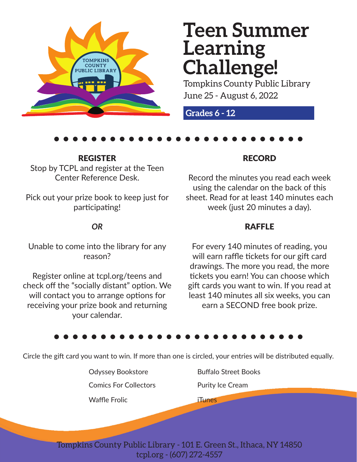

# **Teen Summer Learning Challenge!**

Tompkins County Public Library June 25 - August 6, 2022

**Grades 6 - 12**

REGISTERStop by TCPL and register at the Teen Center Reference Desk.

Pick out your prize book to keep just for participating!

## *OR*

Unable to come into the library for any reason?

Register online at tcpl.org/teens and check off the "socially distant" option. We will contact you to arrange options for receiving your prize book and returning your calendar.

### RECORD

Record the minutes you read each week using the calendar on the back of this sheet. Read for at least 140 minutes each week (just 20 minutes a day).

### RAFFLE

For every 140 minutes of reading, you will earn raffle tickets for our gift card drawings. The more you read, the more tickets you earn! You can choose which gift cards you want to win. If you read at least 140 minutes all six weeks, you can earn a SECOND free book prize.

Circle the gift card you want to win. If more than one is circled, your entries will be distributed equally.

Odyssey Bookstore Buffalo Street Books

Comics For Collectors

Waffle Frolic

Purity Ice Cream

**iTunes** 

Tompkins County Public Library - 101 E. Green St., Ithaca, NY 14850 tcpl.org - (607) 272-4557